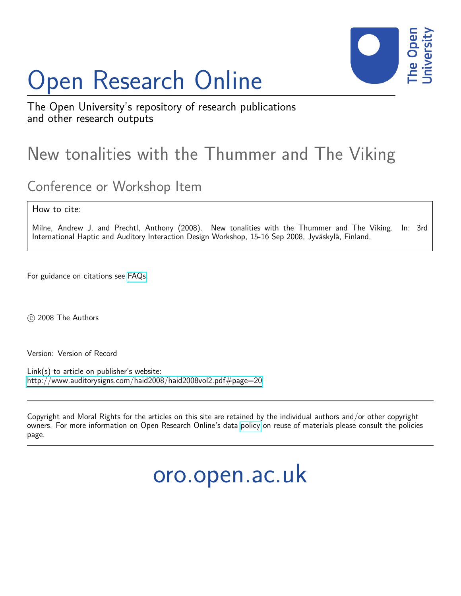# Open Research Online



The Open University's repository of research publications and other research outputs

# New tonalities with the Thummer and The Viking

## Conference or Workshop Item

How to cite:

Milne, Andrew J. and Prechtl, Anthony (2008). New tonalities with the Thummer and The Viking. In: 3rd International Haptic and Auditory Interaction Design Workshop, 15-16 Sep 2008, Jyväskylä, Finland.

For guidance on citations see [FAQs.](http://oro.open.ac.uk/help/helpfaq.html)

c 2008 The Authors

Version: Version of Record

Link(s) to article on publisher's website: <http://www.auditorysigns.com/haid2008/haid2008vol2.pdf#page=20>

Copyright and Moral Rights for the articles on this site are retained by the individual authors and/or other copyright owners. For more information on Open Research Online's data [policy](http://oro.open.ac.uk/policies.html) on reuse of materials please consult the policies page.

oro.open.ac.uk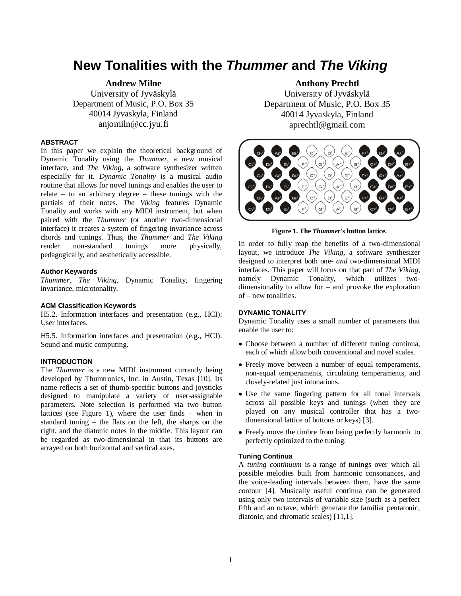### **New Tonalities with the** *Thummer* **and** *The Viking*

**Andrew Milne** University of Jyväskylä Department of Music, P.O. Box 35 40014 Jyvaskyla, Finland anjomiln@cc.jyu.fi

#### **ABSTRACT**

In this paper we explain the theoretical background of Dynamic Tonality using the *Thummer*, a new musical interface, and *The Viking*, a software synthesizer written especially for it. *Dynamic Tonality* is a musical audio routine that allows for novel tunings and enables the user to relate – to an arbitrary degree – these tunings with the partials of their notes. *The Viking* features Dynamic Tonality and works with any MIDI instrument, but when paired with the *Thummer* (or another two-dimensional interface) it creates a system of fingering invariance across chords and tunings. Thus, the *Thummer* and *The Viking* render non-standard tunings more physically, pedagogically, and aesthetically accessible.

#### **Author Keywords**

*Thummer*, *The Viking*, Dynamic Tonality, fingering invariance, microtonality.

#### **ACM Classification Keywords**

H5.2. Information interfaces and presentation (e.g., HCI): User interfaces.

H5.5. Information interfaces and presentation (e.g., HCI): Sound and music computing.

#### **INTRODUCTION**

The *Thummer* is a new MIDI instrument currently being developed by Thumtronics, Inc. in Austin, Texas [10]. Its name reflects a set of thumb-specific buttons and joysticks designed to manipulate a variety of user-assignable parameters. Note selection is performed via two button lattices (see Figure 1), where the user finds – when in standard tuning – the flats on the left, the sharps on the right, and the diatonic notes in the middle. This layout can be regarded as two-dimensional in that its buttons are arrayed on both horizontal and vertical axes.

#### **Anthony Prechtl**

University of Jyväskylä Department of Music, P.O. Box 35 40014 Jyvaskyla, Finland aprechtl@gmail.com



**Figure 1. The** *Thummer***'s button lattice.**

In order to fully reap the benefits of a two-dimensional layout, we introduce *The Viking*, a software synthesizer designed to interpret both one- *and* two-dimensional MIDI interfaces. This paper will focus on that part of *The Viking*, namely Dynamic Tonality, which utilizes twodimensionality to allow for – and provoke the exploration of – new tonalities.

#### **DYNAMIC TONALITY**

Dynamic Tonality uses a small number of parameters that enable the user to:

- Choose between a number of different tuning continua, each of which allow both conventional and novel scales.
- Freely move between a number of equal temperaments, non-equal temperaments, circulating temperaments, and closely-related just intonations.
- Use the same fingering pattern for all tonal intervals across all possible keys and tunings (when they are played on any musical controller that has a twodimensional lattice of buttons or keys) [3].
- Freely move the timbre from being perfectly harmonic to perfectly optimized to the tuning.

#### **Tuning Continua**

A *tuning continuum* is a range of tunings over which all possible melodies built from harmonic consonances, and the voice-leading intervals between them, have the same contour [4]. Musically useful continua can be generated using only two intervals of variable size (such as a perfect fifth and an octave, which generate the familiar pentatonic, diatonic, and chromatic scales) [11,1].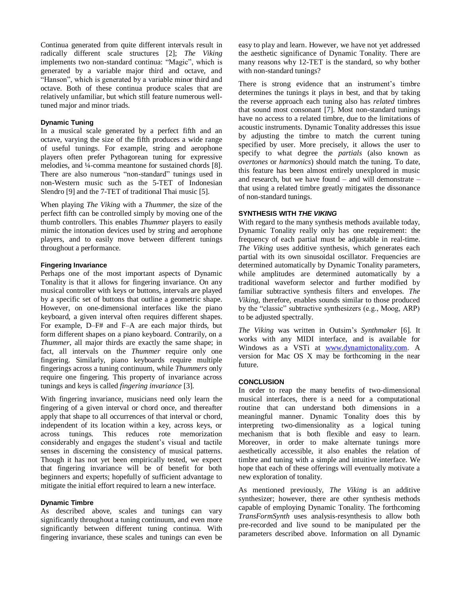Continua generated from quite different intervals result in radically different scale structures [2]; *The Viking* implements two non-standard continua: "Magic", which is generated by a variable major third and octave, and "Hanson", which is generated by a variable minor third and octave. Both of these continua produce scales that are relatively unfamiliar, but which still feature numerous welltuned major and minor triads.

#### **Dynamic Tuning**

In a musical scale generated by a perfect fifth and an octave, varying the size of the fifth produces a wide range of useful tunings. For example, string and aerophone players often prefer Pythagorean tuning for expressive melodies, and ¼-comma meantone for sustained chords [8]. There are also numerous "non-standard" tunings used in non-Western music such as the 5-TET of Indonesian Slendro [9] and the 7-TET of traditional Thai music [5].

When playing *The Viking* with a *Thummer*, the size of the perfect fifth can be controlled simply by moving one of the thumb controllers. This enables *Thummer* players to easily mimic the intonation devices used by string and aerophone players, and to easily move between different tunings throughout a performance.

#### **Fingering Invariance**

Perhaps one of the most important aspects of Dynamic Tonality is that it allows for fingering invariance. On any musical controller with keys or buttons, intervals are played by a specific set of buttons that outline a geometric shape. However, on one-dimensional interfaces like the piano keyboard, a given interval often requires different shapes. For example, D–F# and F–A are each major thirds, but form different shapes on a piano keyboard. Contrarily, on a *Thummer*, all major thirds are exactly the same shape; in fact, all intervals on the *Thummer* require only one fingering. Similarly, piano keyboards require multiple fingerings across a tuning continuum, while *Thummers* only require one fingering. This property of invariance across tunings and keys is called *fingering invariance* [3].

With fingering invariance, musicians need only learn the fingering of a given interval or chord once, and thereafter apply that shape to all occurrences of that interval or chord, independent of its location within a key, across keys, or across tunings. This reduces rote memorization considerably and engages the student's visual and tactile senses in discerning the consistency of musical patterns. Though it has not yet been empirically tested, we expect that fingering invariance will be of benefit for both beginners and experts; hopefully of sufficient advantage to mitigate the initial effort required to learn a new interface.

#### **Dynamic Timbre**

As described above, scales and tunings can vary significantly throughout a tuning continuum, and even more significantly between different tuning continua. With fingering invariance, these scales and tunings can even be

easy to play and learn. However, we have not yet addressed the aesthetic significance of Dynamic Tonality. There are many reasons why 12-TET is the standard, so why bother with non-standard tunings?

There is strong evidence that an instrument's timbre determines the tunings it plays in best, and that by taking the reverse approach each tuning also has *related* timbres that sound most consonant [7]. Most non-standard tunings have no access to a related timbre, due to the limitations of acoustic instruments. Dynamic Tonality addresses this issue by adjusting the timbre to match the current tuning specified by user. More precisely, it allows the user to specify to what degree the *partials* (also known as *overtones* or *harmonics*) should match the tuning. To date, this feature has been almost entirely unexplored in music and research, but we have found – and will demonstrate – that using a related timbre greatly mitigates the dissonance of non-standard tunings.

#### **SYNTHESIS WITH** *THE VIKING*

With regard to the many synthesis methods available today, Dynamic Tonality really only has one requirement: the frequency of each partial must be adjustable in real-time. *The Viking* uses additive synthesis, which generates each partial with its own sinusoidal oscillator. Frequencies are determined automatically by Dynamic Tonality parameters, while amplitudes are determined automatically by a traditional waveform selector and further modified by familiar subtractive synthesis filters and envelopes. *The Viking*, therefore, enables sounds similar to those produced by the "classic" subtractive synthesizers (e.g., Moog, ARP) to be adjusted spectrally.

*The Viking* was written in Outsim's *Synthmaker* [6]. It works with any MIDI interface, and is available for Windows as a VSTi at [www.dynamictonality.com.](http://www.dynamictonality.com/) A version for Mac OS X may be forthcoming in the near future.

#### **CONCLUSION**

In order to reap the many benefits of two-dimensional musical interfaces, there is a need for a computational routine that can understand both dimensions in a meaningful manner. Dynamic Tonality does this by interpreting two-dimensionality as a logical tuning mechanism that is both flexible and easy to learn. Moreover, in order to make alternate tunings more aesthetically accessible, it also enables the relation of timbre and tuning with a simple and intuitive interface. We hope that each of these offerings will eventually motivate a new exploration of tonality.

As mentioned previously, *The Viking* is an additive synthesizer; however, there are other synthesis methods capable of employing Dynamic Tonality. The forthcoming *TransFormSynth* uses analysis-resynthesis to allow both pre-recorded and live sound to be manipulated per the parameters described above. Information on all Dynamic